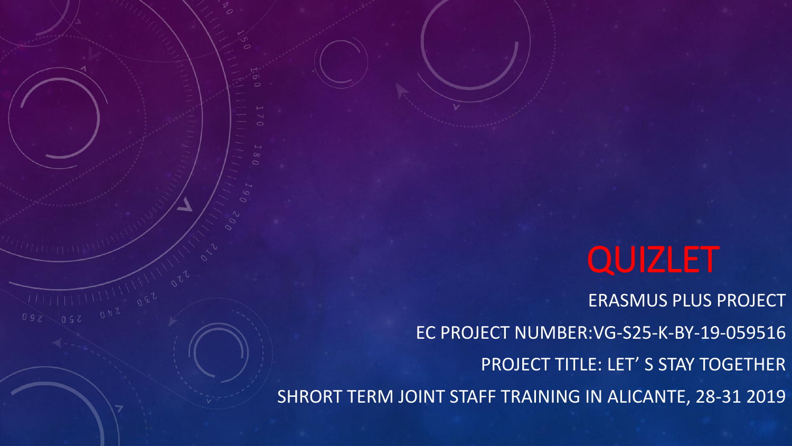# QUIZLET

ERASMUS PLUS PROJECT EC PROJECT NUMBER:VG-S25-K-BY-19-059516 PROJECT TITLE: LET' S STAY TOGETHER SHRORT TERM JOINT STAFF TRAINING IN ALICANTE, 28-31 2019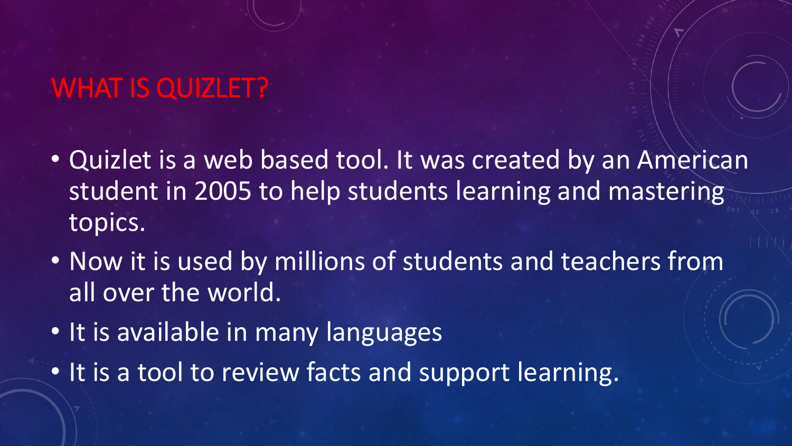#### WHAT IS QUIZLET?

- Quizlet is a web based tool. It was created by an American student in 2005 to help students learning and mastering topics.
- Now it is used by millions of students and teachers from all over the world.
- It is available in many languages
- It is a tool to review facts and support learning.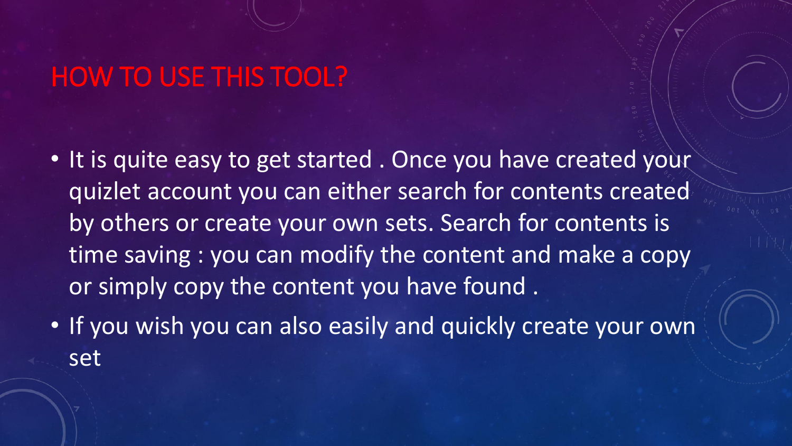### HOW TO USE THIS TOOL?

- It is quite easy to get started . Once you have created your quizlet account you can either search for contents created by others or create your own sets. Search for contents is time saving : you can modify the content and make a copy or simply copy the content you have found.
- If you wish you can also easily and quickly create your own set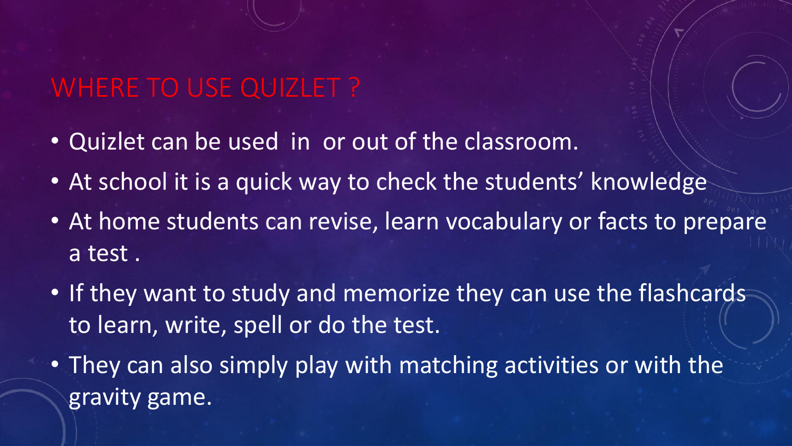### WHERE TO USE QUIZLET ?

- Quizlet can be used in or out of the classroom.
- At school it is a quick way to check the students' knowledge
- At home students can revise, learn vocabulary or facts to prepare a test .
- If they want to study and memorize they can use the flashcards to learn, write, spell or do the test.
- They can also simply play with matching activities or with the gravity game.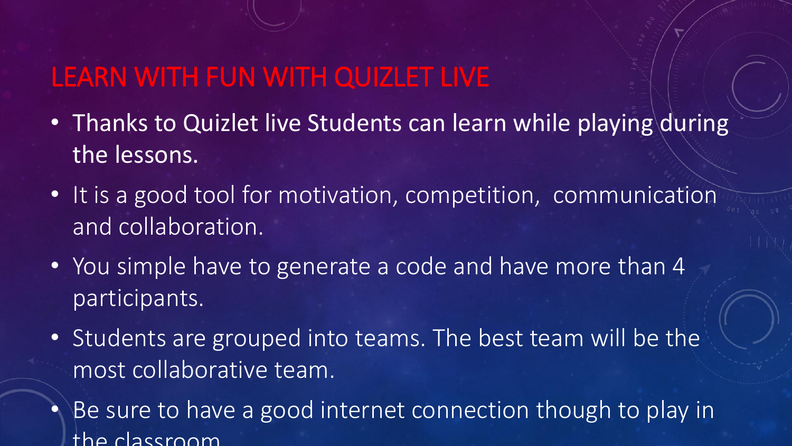#### LEARN WITH FUN WITH QUIZLET LIVE

- Thanks to Quizlet live Students can learn while playing during the lessons.
- It is a good tool for motivation, competition, communication and collaboration.
- You simple have to generate a code and have more than 4 participants.
- Students are grouped into teams. The best team will be the most collaborative team.
- Be sure to have a good internet connection though to play in the classroom